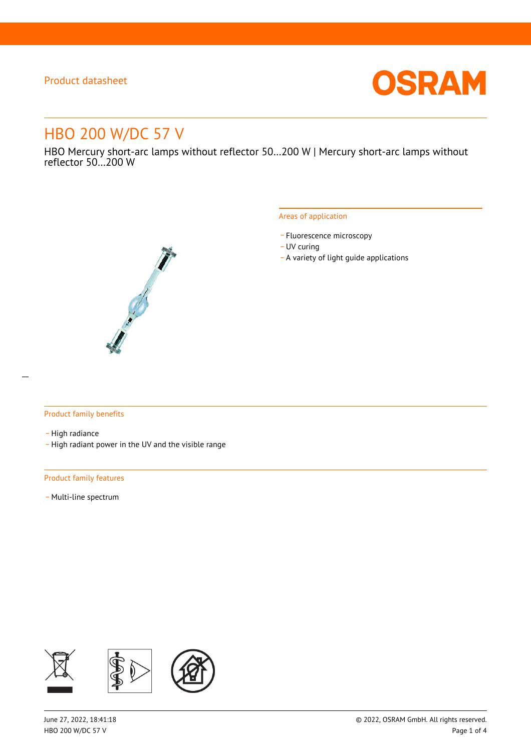

# HBO 200 W/DC 57 V

HBO Mercury short-arc lamps without reflector 50…200 W | Mercury short-arc lamps without reflector 50…200 W



#### Areas of application

- Fluorescence microscopy
- UV curing
- \_ A variety of light guide applications

### Product family benefits

- High radiance
- \_ High radiant power in the UV and the visible range

#### Product family features

- Multi-line spectrum

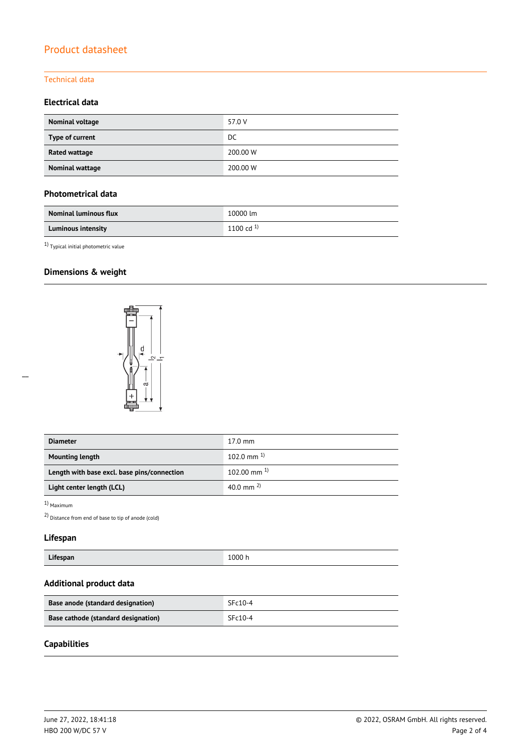### Technical data

### **Electrical data**

| Nominal voltage      | 57.0 V   |
|----------------------|----------|
| Type of current      | DC       |
| <b>Rated wattage</b> | 200.00 W |
| Nominal wattage      | 200.00 W |

### **Photometrical data**

| <b>Nominal luminous flux</b> | 10000 lm       |
|------------------------------|----------------|
| <b>Luminous intensity</b>    | 1100 cd $^{1}$ |

 $^{1)}$  Typical initial photometric value

### **Dimensions & weight**



| <b>Diameter</b>                             | $17.0 \text{ mm}$  |  |
|---------------------------------------------|--------------------|--|
| <b>Mounting length</b>                      | 102.0 mm $^{1}$    |  |
| Length with base excl. base pins/connection | $102.00$ mm $^{1}$ |  |
| Light center length (LCL)                   | 40.0 mm $^{2}$ )   |  |

1) Maximum

 $\overline{a}$ 

2) Distance from end of base to tip of anode (cold)

# **Lifespan**

| $\cdot$ .<br>-----<br>1000 h<br><b>Lifespan</b> |
|-------------------------------------------------|
|-------------------------------------------------|

### **Additional product data**

| Base anode (standard designation)   | $SFc10-4$ |
|-------------------------------------|-----------|
| Base cathode (standard designation) | $SFc10-4$ |

### **Capabilities**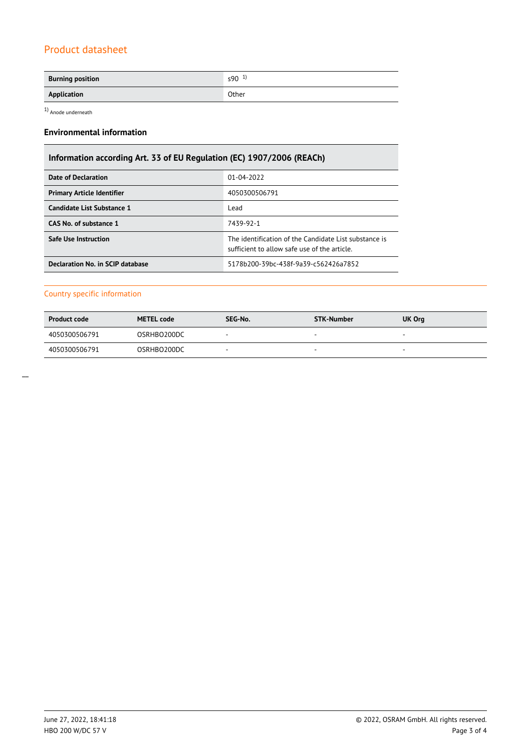| <b>Burning position</b> | $590^{1}$ |
|-------------------------|-----------|
| Application             | Other     |

1) Anode underneath

### **Environmental information**

# **Information according Art. 33 of EU Regulation (EC) 1907/2006 (REACh)**

| Date of Declaration               | 01-04-2022                                                                                            |  |  |
|-----------------------------------|-------------------------------------------------------------------------------------------------------|--|--|
| <b>Primary Article Identifier</b> | 4050300506791                                                                                         |  |  |
| Candidate List Substance 1        | Lead                                                                                                  |  |  |
| CAS No. of substance 1            | 7439-92-1                                                                                             |  |  |
| Safe Use Instruction              | The identification of the Candidate List substance is<br>sufficient to allow safe use of the article. |  |  |
| Declaration No. in SCIP database  | 5178b200-39bc-438f-9a39-c562426a7852                                                                  |  |  |

### Country specific information

| <b>Product code</b> | <b>METEL code</b> | SEG-No. | <b>STK-Number</b> | UK Org                   |
|---------------------|-------------------|---------|-------------------|--------------------------|
| 4050300506791       | OSRHBO200DC       |         |                   | $\overline{\phantom{a}}$ |
| 4050300506791       | OSRHBO200DC       |         |                   | $\overline{\phantom{a}}$ |